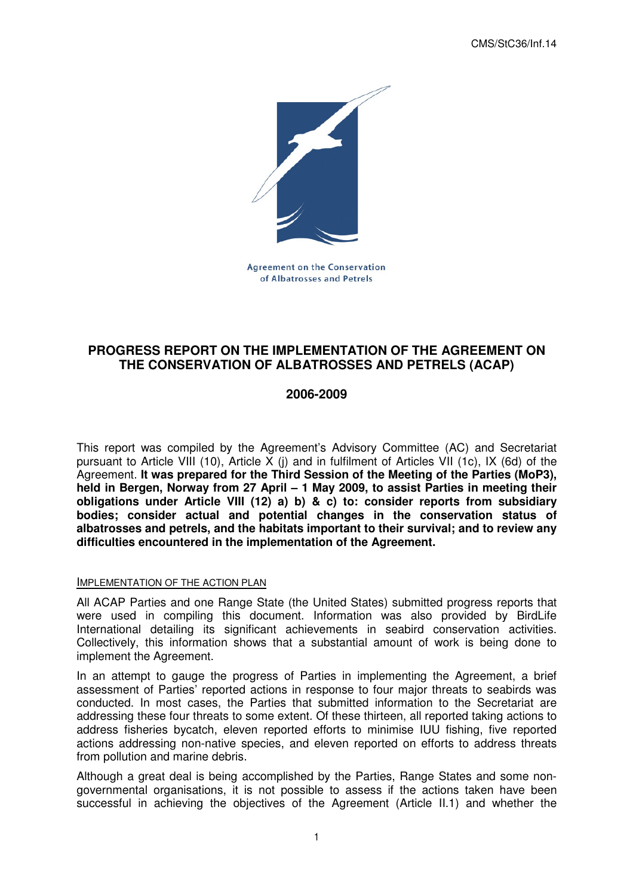CMS/StC36/Inf.14



**Agreement on the Conservation** of Albatrosses and Petrels

# **PROGRESS REPORT ON THE IMPLEMENTATION OF THE AGREEMENT ON THE CONSERVATION OF ALBATROSSES AND PETRELS (ACAP)**

## **2006-2009**

This report was compiled by the Agreement's Advisory Committee (AC) and Secretariat pursuant to Article VIII (10), Article X (i) and in fulfilment of Articles VII (1c), IX (6d) of the Agreement. **It was prepared for the Third Session of the Meeting of the Parties (MoP3), held in Bergen, Norway from 27 April – 1 May 2009, to assist Parties in meeting their obligations under Article VIII (12) a) b) & c) to: consider reports from subsidiary bodies; consider actual and potential changes in the conservation status of albatrosses and petrels, and the habitats important to their survival; and to review any difficulties encountered in the implementation of the Agreement.** 

#### IMPLEMENTATION OF THE ACTION PLAN

All ACAP Parties and one Range State (the United States) submitted progress reports that were used in compiling this document. Information was also provided by BirdLife International detailing its significant achievements in seabird conservation activities. Collectively, this information shows that a substantial amount of work is being done to implement the Agreement.

In an attempt to gauge the progress of Parties in implementing the Agreement, a brief assessment of Parties' reported actions in response to four major threats to seabirds was conducted. In most cases, the Parties that submitted information to the Secretariat are addressing these four threats to some extent. Of these thirteen, all reported taking actions to address fisheries bycatch, eleven reported efforts to minimise IUU fishing, five reported actions addressing non-native species, and eleven reported on efforts to address threats from pollution and marine debris.

Although a great deal is being accomplished by the Parties, Range States and some nongovernmental organisations, it is not possible to assess if the actions taken have been successful in achieving the objectives of the Agreement (Article II.1) and whether the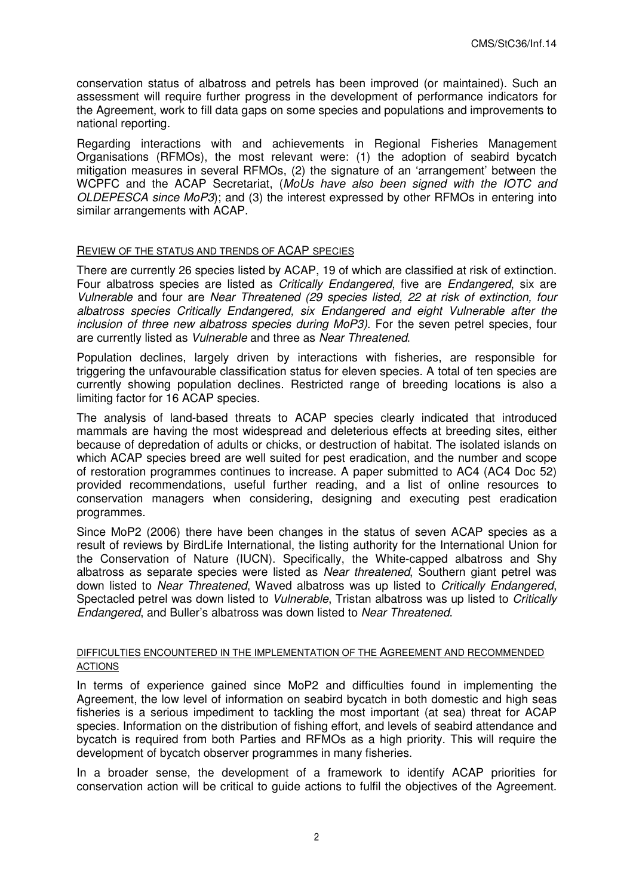conservation status of albatross and petrels has been improved (or maintained). Such an assessment will require further progress in the development of performance indicators for the Agreement, work to fill data gaps on some species and populations and improvements to national reporting.

Regarding interactions with and achievements in Regional Fisheries Management Organisations (RFMOs), the most relevant were: (1) the adoption of seabird bycatch mitigation measures in several RFMOs, (2) the signature of an 'arrangement' between the WCPFC and the ACAP Secretariat, (MoUs have also been signed with the IOTC and OLDEPESCA since MoP3); and (3) the interest expressed by other RFMOs in entering into similar arrangements with ACAP.

#### REVIEW OF THE STATUS AND TRENDS OF ACAP SPECIES

There are currently 26 species listed by ACAP, 19 of which are classified at risk of extinction. Four albatross species are listed as Critically Endangered, five are Endangered, six are Vulnerable and four are Near Threatened (29 species listed, 22 at risk of extinction, four albatross species Critically Endangered, six Endangered and eight Vulnerable after the inclusion of three new albatross species during MoP3). For the seven petrel species, four are currently listed as Vulnerable and three as Near Threatened.

Population declines, largely driven by interactions with fisheries, are responsible for triggering the unfavourable classification status for eleven species. A total of ten species are currently showing population declines. Restricted range of breeding locations is also a limiting factor for 16 ACAP species.

The analysis of land-based threats to ACAP species clearly indicated that introduced mammals are having the most widespread and deleterious effects at breeding sites, either because of depredation of adults or chicks, or destruction of habitat. The isolated islands on which ACAP species breed are well suited for pest eradication, and the number and scope of restoration programmes continues to increase. A paper submitted to AC4 (AC4 Doc 52) provided recommendations, useful further reading, and a list of online resources to conservation managers when considering, designing and executing pest eradication programmes.

Since MoP2 (2006) there have been changes in the status of seven ACAP species as a result of reviews by BirdLife International, the listing authority for the International Union for the Conservation of Nature (IUCN). Specifically, the White-capped albatross and Shy albatross as separate species were listed as Near threatened, Southern giant petrel was down listed to Near Threatened, Waved albatross was up listed to Critically Endangered, Spectacled petrel was down listed to Vulnerable, Tristan albatross was up listed to Critically Endangered, and Buller's albatross was down listed to Near Threatened.

### DIFFICULTIES ENCOUNTERED IN THE IMPLEMENTATION OF THE AGREEMENT AND RECOMMENDED **ACTIONS**

In terms of experience gained since MoP2 and difficulties found in implementing the Agreement, the low level of information on seabird bycatch in both domestic and high seas fisheries is a serious impediment to tackling the most important (at sea) threat for ACAP species. Information on the distribution of fishing effort, and levels of seabird attendance and bycatch is required from both Parties and RFMOs as a high priority. This will require the development of bycatch observer programmes in many fisheries.

In a broader sense, the development of a framework to identify ACAP priorities for conservation action will be critical to guide actions to fulfil the objectives of the Agreement.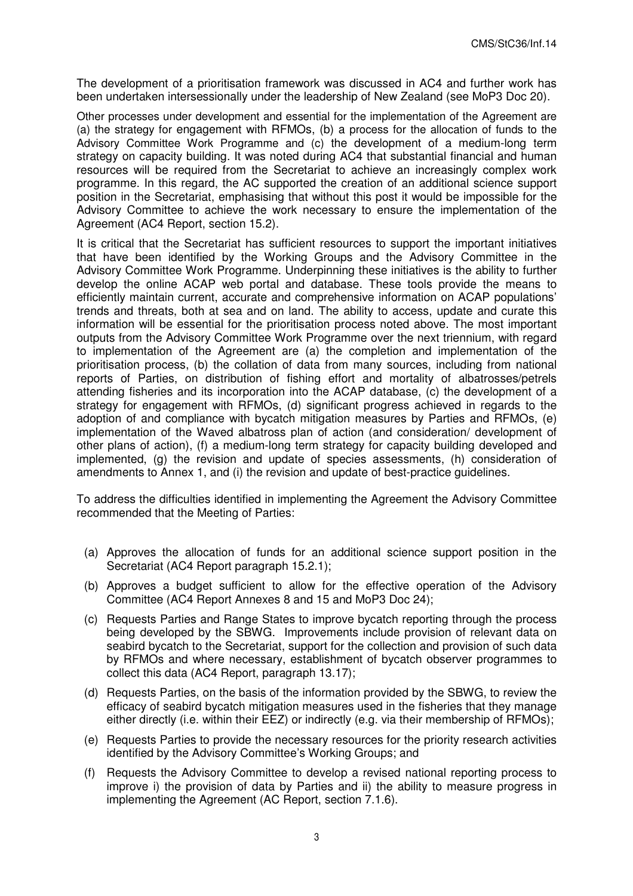The development of a prioritisation framework was discussed in AC4 and further work has been undertaken intersessionally under the leadership of New Zealand (see MoP3 Doc 20).

Other processes under development and essential for the implementation of the Agreement are (a) the strategy for engagement with RFMOs, (b) a process for the allocation of funds to the Advisory Committee Work Programme and (c) the development of a medium-long term strategy on capacity building. It was noted during AC4 that substantial financial and human resources will be required from the Secretariat to achieve an increasingly complex work programme. In this regard, the AC supported the creation of an additional science support position in the Secretariat, emphasising that without this post it would be impossible for the Advisory Committee to achieve the work necessary to ensure the implementation of the Agreement (AC4 Report, section 15.2).

It is critical that the Secretariat has sufficient resources to support the important initiatives that have been identified by the Working Groups and the Advisory Committee in the Advisory Committee Work Programme. Underpinning these initiatives is the ability to further develop the online ACAP web portal and database. These tools provide the means to efficiently maintain current, accurate and comprehensive information on ACAP populations' trends and threats, both at sea and on land. The ability to access, update and curate this information will be essential for the prioritisation process noted above. The most important outputs from the Advisory Committee Work Programme over the next triennium, with regard to implementation of the Agreement are (a) the completion and implementation of the prioritisation process, (b) the collation of data from many sources, including from national reports of Parties, on distribution of fishing effort and mortality of albatrosses/petrels attending fisheries and its incorporation into the ACAP database, (c) the development of a strategy for engagement with RFMOs, (d) significant progress achieved in regards to the adoption of and compliance with bycatch mitigation measures by Parties and RFMOs, (e) implementation of the Waved albatross plan of action (and consideration/ development of other plans of action), (f) a medium-long term strategy for capacity building developed and implemented, (g) the revision and update of species assessments, (h) consideration of amendments to Annex 1, and (i) the revision and update of best-practice guidelines.

To address the difficulties identified in implementing the Agreement the Advisory Committee recommended that the Meeting of Parties:

- (a) Approves the allocation of funds for an additional science support position in the Secretariat (AC4 Report paragraph 15.2.1);
- (b) Approves a budget sufficient to allow for the effective operation of the Advisory Committee (AC4 Report Annexes 8 and 15 and MoP3 Doc 24);
- (c) Requests Parties and Range States to improve bycatch reporting through the process being developed by the SBWG. Improvements include provision of relevant data on seabird bycatch to the Secretariat, support for the collection and provision of such data by RFMOs and where necessary, establishment of bycatch observer programmes to collect this data (AC4 Report, paragraph 13.17);
- (d) Requests Parties, on the basis of the information provided by the SBWG, to review the efficacy of seabird bycatch mitigation measures used in the fisheries that they manage either directly (i.e. within their EEZ) or indirectly (e.g. via their membership of RFMOs);
- (e) Requests Parties to provide the necessary resources for the priority research activities identified by the Advisory Committee's Working Groups; and
- (f) Requests the Advisory Committee to develop a revised national reporting process to improve i) the provision of data by Parties and ii) the ability to measure progress in implementing the Agreement (AC Report, section 7.1.6).